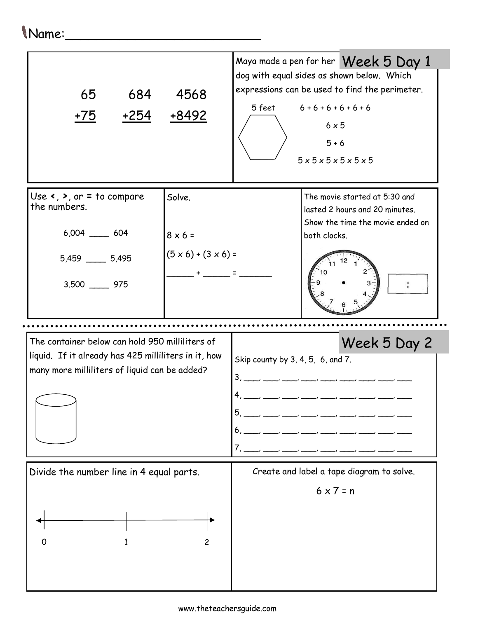## Name:\_\_\_\_\_\_\_\_\_\_\_\_\_\_\_\_\_\_\_\_\_\_\_\_\_

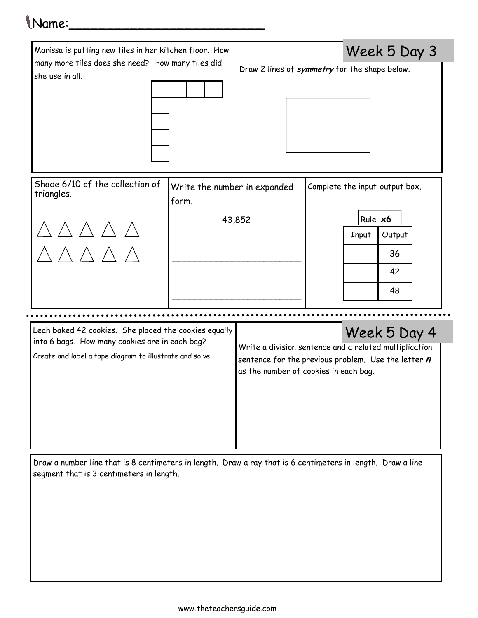## Name:\_\_\_\_\_\_\_\_\_\_\_\_\_\_\_\_\_\_\_\_\_\_\_\_\_



Draw a number line that is 8 centimeters in length. Draw a ray that is 6 centimeters in length. Draw a line segment that is 3 centimeters in length.